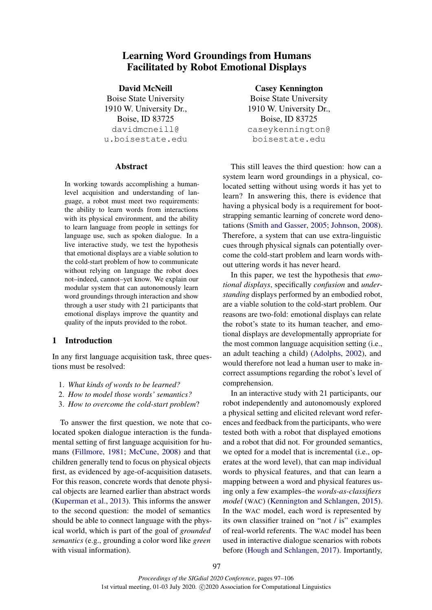# Learning Word Groundings from Humans Facilitated by Robot Emotional Displays

David McNeill Boise State University 1910 W. University Dr., Boise, ID 83725 davidmcneill@ u.boisestate.edu

# Abstract

In working towards accomplishing a humanlevel acquisition and understanding of language, a robot must meet two requirements: the ability to learn words from interactions with its physical environment, and the ability to learn language from people in settings for language use, such as spoken dialogue. In a live interactive study, we test the hypothesis that emotional displays are a viable solution to the cold-start problem of how to communicate without relying on language the robot does not–indeed, cannot–yet know. We explain our modular system that can autonomously learn word groundings through interaction and show through a user study with 21 participants that emotional displays improve the quantity and quality of the inputs provided to the robot.

# 1 Introduction

In any first language acquisition task, three questions must be resolved:

- 1. *What kinds of words to be learned?*
- 2. *How to model those words' semantics?*
- 3. *How to overcome the cold-start problem*?

To answer the first question, we note that colocated spoken dialogue interaction is the fundamental setting of first language acquisition for humans [\(Fillmore,](#page-8-0) [1981;](#page-8-0) [McCune,](#page-8-1) [2008\)](#page-8-1) and that children generally tend to focus on physical objects first, as evidenced by age-of-acquisition datasets. For this reason, concrete words that denote physical objects are learned earlier than abstract words [\(Kuperman et al.,](#page-8-2) [2013\)](#page-8-2). This informs the answer to the second question: the model of semantics should be able to connect language with the physical world, which is part of the goal of *grounded semantics* (e.g., grounding a color word like *green* with visual information).

Casey Kennington Boise State University 1910 W. University Dr., Boise, ID 83725 caseykennington@ boisestate.edu

This still leaves the third question: how can a system learn word groundings in a physical, colocated setting without using words it has yet to learn? In answering this, there is evidence that having a physical body is a requirement for bootstrapping semantic learning of concrete word denotations [\(Smith and Gasser,](#page-9-0) [2005;](#page-9-0) [Johnson,](#page-8-3) [2008\)](#page-8-3). Therefore, a system that can use extra-linguistic cues through physical signals can potentially overcome the cold-start problem and learn words without uttering words it has never heard.

In this paper, we test the hypothesis that *emotional displays*, specifically *confusion* and *understanding* displays performed by an embodied robot, are a viable solution to the cold-start problem. Our reasons are two-fold: emotional displays can relate the robot's state to its human teacher, and emotional displays are developmentally appropriate for the most common language acquisition setting (i.e., an adult teaching a child) [\(Adolphs,](#page-8-4) [2002\)](#page-8-4), and would therefore not lead a human user to make incorrect assumptions regarding the robot's level of comprehension.

In an interactive study with 21 participants, our robot independently and autonomously explored a physical setting and elicited relevant word references and feedback from the participants, who were tested both with a robot that displayed emotions and a robot that did not. For grounded semantics, we opted for a model that is incremental (i.e., operates at the word level), that can map individual words to physical features, and that can learn a mapping between a word and physical features using only a few examples–the *words-as-classifiers model* (WAC) [\(Kennington and Schlangen,](#page-8-5) [2015\)](#page-8-5). In the WAC model, each word is represented by its own classifier trained on "not / is" examples of real-world referents. The WAC model has been used in interactive dialogue scenarios with robots before [\(Hough and Schlangen,](#page-8-6) [2017\)](#page-8-6). Importantly,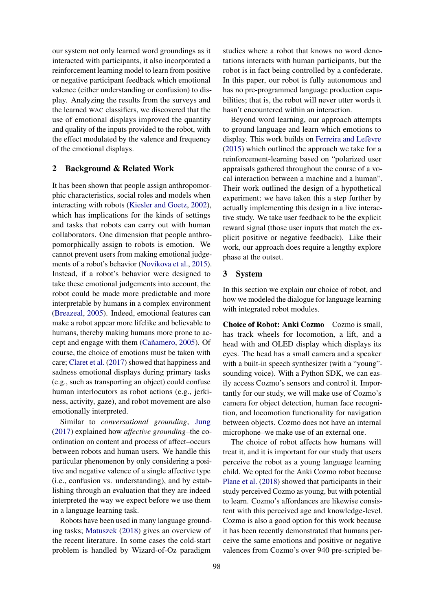our system not only learned word groundings as it interacted with participants, it also incorporated a reinforcement learning model to learn from positive or negative participant feedback which emotional valence (either understanding or confusion) to display. Analyzing the results from the surveys and the learned WAC classifiers, we discovered that the use of emotional displays improved the quantity and quality of the inputs provided to the robot, with the effect modulated by the valence and frequency of the emotional displays.

## 2 Background & Related Work

It has been shown that people assign anthropomorphic characteristics, social roles and models when interacting with robots [\(Kiesler and Goetz,](#page-8-7) [2002\)](#page-8-7), which has implications for the kinds of settings and tasks that robots can carry out with human collaborators. One dimension that people anthropomorphically assign to robots is emotion. We cannot prevent users from making emotional judgements of a robot's behavior [\(Novikova et al.,](#page-9-1) [2015\)](#page-9-1). Instead, if a robot's behavior were designed to take these emotional judgements into account, the robot could be made more predictable and more interpretable by humans in a complex environment [\(Breazeal,](#page-8-8) [2005\)](#page-8-8). Indeed, emotional features can make a robot appear more lifelike and believable to humans, thereby making humans more prone to ac-cept and engage with them (Cañamero, [2005\)](#page-8-9). Of course, the choice of emotions must be taken with care; [Claret et al.](#page-8-10) [\(2017\)](#page-8-10) showed that happiness and sadness emotional displays during primary tasks (e.g., such as transporting an object) could confuse human interlocutors as robot actions (e.g., jerkiness, activity, gaze), and robot movement are also emotionally interpreted.

Similar to *conversational grounding*, [Jung](#page-8-11) [\(2017\)](#page-8-11) explained how *affective grounding*–the coordination on content and process of affect–occurs between robots and human users. We handle this particular phenomenon by only considering a positive and negative valence of a single affective type (i.e., confusion vs. understanding), and by establishing through an evaluation that they are indeed interpreted the way we expect before we use them in a language learning task.

Robots have been used in many language grounding tasks; [Matuszek](#page-8-12) [\(2018\)](#page-8-12) gives an overview of the recent literature. In some cases the cold-start problem is handled by Wizard-of-Oz paradigm

studies where a robot that knows no word denotations interacts with human participants, but the robot is in fact being controlled by a confederate. In this paper, our robot is fully autonomous and has no pre-programmed language production capabilities; that is, the robot will never utter words it hasn't encountered within an interaction.

Beyond word learning, our approach attempts to ground language and learn which emotions to display. This work builds on Ferreira and Lefèvre [\(2015\)](#page-8-13) which outlined the approach we take for a reinforcement-learning based on "polarized user appraisals gathered throughout the course of a vocal interaction between a machine and a human". Their work outlined the design of a hypothetical experiment; we have taken this a step further by actually implementing this design in a live interactive study. We take user feedback to be the explicit reward signal (those user inputs that match the explicit positive or negative feedback). Like their work, our approach does require a lengthy explore phase at the outset.

# 3 System

In this section we explain our choice of robot, and how we modeled the dialogue for language learning with integrated robot modules.

Choice of Robot: Anki Cozmo Cozmo is small, has track wheels for locomotion, a lift, and a head with and OLED display which displays its eyes. The head has a small camera and a speaker with a built-in speech synthesizer (with a "young"sounding voice). With a Python SDK, we can easily access Cozmo's sensors and control it. Importantly for our study, we will make use of Cozmo's camera for object detection, human face recognition, and locomotion functionality for navigation between objects. Cozmo does not have an internal microphone–we make use of an external one.

The choice of robot affects how humans will treat it, and it is important for our study that users perceive the robot as a young language learning child. We opted for the Anki Cozmo robot because [Plane et al.](#page-9-2) [\(2018\)](#page-9-2) showed that participants in their study perceived Cozmo as young, but with potential to learn. Cozmo's affordances are likewise consistent with this perceived age and knowledge-level. Cozmo is also a good option for this work because it has been recently demonstrated that humans perceive the same emotions and positive or negative valences from Cozmo's over 940 pre-scripted be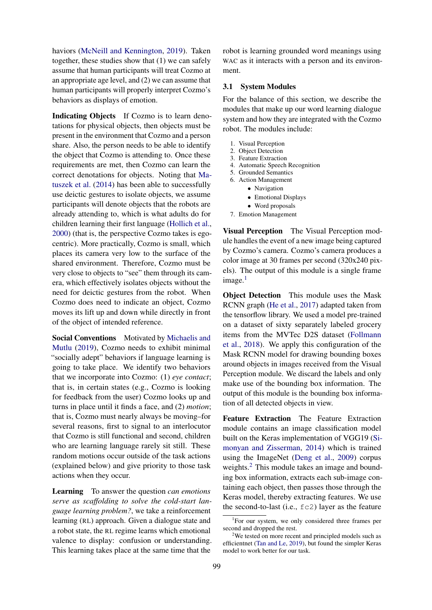haviors [\(McNeill and Kennington,](#page-9-3) [2019\)](#page-9-3). Taken together, these studies show that (1) we can safely assume that human participants will treat Cozmo at an appropriate age level, and (2) we can assume that human participants will properly interpret Cozmo's behaviors as displays of emotion.

Indicating Objects If Cozmo is to learn denotations for physical objects, then objects must be present in the environment that Cozmo and a person share. Also, the person needs to be able to identify the object that Cozmo is attending to. Once these requirements are met, then Cozmo can learn the correct denotations for objects. Noting that [Ma](#page-8-14)[tuszek et al.](#page-8-14) [\(2014\)](#page-8-14) has been able to successfully use deictic gestures to isolate objects, we assume participants will denote objects that the robots are already attending to, which is what adults do for children learning their first language [\(Hollich et al.,](#page-8-15) [2000\)](#page-8-15) (that is, the perspective Cozmo takes is egocentric). More practically, Cozmo is small, which places its camera very low to the surface of the shared environment. Therefore, Cozmo must be very close to objects to "see" them through its camera, which effectively isolates objects without the need for deictic gestures from the robot. When Cozmo does need to indicate an object, Cozmo moves its lift up and down while directly in front of the object of intended reference.

Social Conventions Motivated by [Michaelis and](#page-9-4) [Mutlu](#page-9-4) [\(2019\)](#page-9-4), Cozmo needs to exhibit minimal "socially adept" behaviors if language learning is going to take place. We identify two behaviors that we incorporate into Cozmo: (1) *eye contact*; that is, in certain states (e.g., Cozmo is looking for feedback from the user) Cozmo looks up and turns in place until it finds a face, and (2) *motion*; that is, Cozmo must nearly always be moving–for several reasons, first to signal to an interlocutor that Cozmo is still functional and second, children who are learning language rarely sit still. These random motions occur outside of the task actions (explained below) and give priority to those task actions when they occur.

Learning To answer the question *can emotions serve as scaffolding to solve the cold-start language learning problem?*, we take a reinforcement learning (RL) approach. Given a dialogue state and a robot state, the RL regime learns which emotional valence to display: confusion or understanding. This learning takes place at the same time that the

robot is learning grounded word meanings using WAC as it interacts with a person and its environment.

#### 3.1 System Modules

For the balance of this section, we describe the modules that make up our word learning dialogue system and how they are integrated with the Cozmo robot. The modules include:

- 1. Visual Perception
- 2. Object Detection
- 3. Feature Extraction 4. Automatic Speech Recognition
- 5. Grounded Semantics
- 6. Action Management
	- Navigation
	- Emotional Displays
	- Word proposals
- 7. Emotion Management

Visual Perception The Visual Perception module handles the event of a new image being captured by Cozmo's camera. Cozmo's camera produces a color image at 30 frames per second (320x240 pixels). The output of this module is a single frame  $image.<sup>1</sup>$  $image.<sup>1</sup>$  $image.<sup>1</sup>$ 

Object Detection This module uses the Mask RCNN graph [\(He et al.,](#page-8-16) [2017\)](#page-8-16) adapted taken from the tensorflow library. We used a model pre-trained on a dataset of sixty separately labeled grocery items from the MVTec D2S dataset [\(Follmann](#page-8-17) [et al.,](#page-8-17) [2018\)](#page-8-17). We apply this configuration of the Mask RCNN model for drawing bounding boxes around objects in images received from the Visual Perception module. We discard the labels and only make use of the bounding box information. The output of this module is the bounding box information of all detected objects in view.

Feature Extraction The Feature Extraction module contains an image classification model built on the Keras implementation of VGG19 [\(Si](#page-9-5)[monyan and Zisserman,](#page-9-5) [2014\)](#page-9-5) which is trained using the ImageNet [\(Deng et al.,](#page-8-18) [2009\)](#page-8-18) corpus weights.<sup>[2](#page-2-1)</sup> This module takes an image and bounding box information, extracts each sub-image containing each object, then passes those through the Keras model, thereby extracting features. We use the second-to-last (i.e., fc2) layer as the feature

<span id="page-2-0"></span><sup>&</sup>lt;sup>1</sup>For our system, we only considered three frames per second and dropped the rest.

<span id="page-2-1"></span><sup>&</sup>lt;sup>2</sup>We tested on more recent and principled models such as efficientnet [\(Tan and Le,](#page-9-6) [2019\)](#page-9-6), but found the simpler Keras model to work better for our task.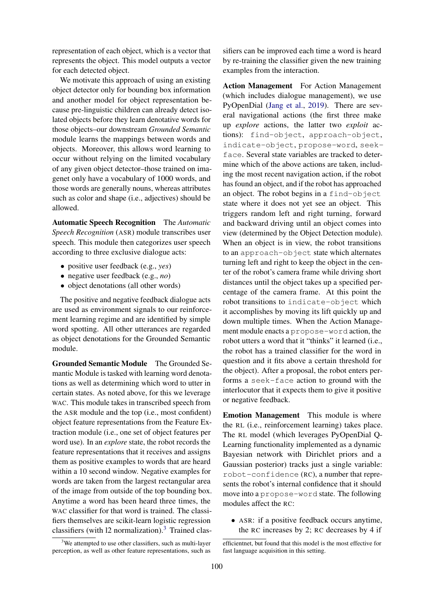representation of each object, which is a vector that represents the object. This model outputs a vector for each detected object.

We motivate this approach of using an existing object detector only for bounding box information and another model for object representation because pre-linguistic children can already detect isolated objects before they learn denotative words for those objects–our downstream *Grounded Semantic* module learns the mappings between words and objects. Moreover, this allows word learning to occur without relying on the limited vocabulary of any given object detector–those trained on imagenet only have a vocabulary of 1000 words, and those words are generally nouns, whereas attributes such as color and shape (i.e., adjectives) should be allowed.

Automatic Speech Recognition The *Automatic Speech Recognition* (ASR) module transcribes user speech. This module then categorizes user speech according to three exclusive dialogue acts:

- positive user feedback (e.g., *yes*)
- negative user feedback (e.g., *no*)
- object denotations (all other words)

The positive and negative feedback dialogue acts are used as environment signals to our reinforcement learning regime and are identified by simple word spotting. All other utterances are regarded as object denotations for the Grounded Semantic module.

Grounded Semantic Module The Grounded Semantic Module is tasked with learning word denotations as well as determining which word to utter in certain states. As noted above, for this we leverage WAC. This module takes in transcribed speech from the ASR module and the top (i.e., most confident) object feature representations from the Feature Extraction module (i.e., one set of object features per word use). In an *explore* state, the robot records the feature representations that it receives and assigns them as positive examples to words that are heard within a 10 second window. Negative examples for words are taken from the largest rectangular area of the image from outside of the top bounding box. Anytime a word has been heard three times, the WAC classifier for that word is trained. The classifiers themselves are scikit-learn logistic regression classifiers (with  $12$  normalization).<sup>[3](#page-3-0)</sup> Trained clas-

sifiers can be improved each time a word is heard by re-training the classifier given the new training examples from the interaction.

Action Management For Action Management (which includes dialogue management), we use PyOpenDial [\(Jang et al.,](#page-8-19) [2019\)](#page-8-19). There are several navigational actions (the first three make up *explore* actions, the latter two *exploit* actions): find-object, approach-object, indicate-object, propose-word, seekface. Several state variables are tracked to determine which of the above actions are taken, including the most recent navigation action, if the robot has found an object, and if the robot has approached an object. The robot begins in a find-object state where it does not yet see an object. This triggers random left and right turning, forward and backward driving until an object comes into view (determined by the Object Detection module). When an object is in view, the robot transitions to an approach-object state which alternates turning left and right to keep the object in the center of the robot's camera frame while driving short distances until the object takes up a specified percentage of the camera frame. At this point the robot transitions to indicate-object which it accomplishes by moving its lift quickly up and down multiple times. When the Action Management module enacts a propose-word action, the robot utters a word that it "thinks" it learned (i.e., the robot has a trained classifier for the word in question and it fits above a certain threshold for the object). After a proposal, the robot enters performs a seek-face action to ground with the interlocutor that it expects them to give it positive or negative feedback.

Emotion Management This module is where the RL (i.e., reinforcement learning) takes place. The RL model (which leverages PyOpenDial Q-Learning functionality implemented as a dynamic Bayesian network with Dirichlet priors and a Gaussian posterior) tracks just a single variable: robot-confidence (RC), a number that represents the robot's internal confidence that it should move into a propose-word state. The following modules affect the RC:

• ASR: if a positive feedback occurs anytime, the RC increases by 2; RC decreases by 4 if

<span id="page-3-0"></span> $3$ We attempted to use other classifiers, such as multi-layer perception, as well as other feature representations, such as

efficientnet, but found that this model is the most effective for fast language acquisition in this setting.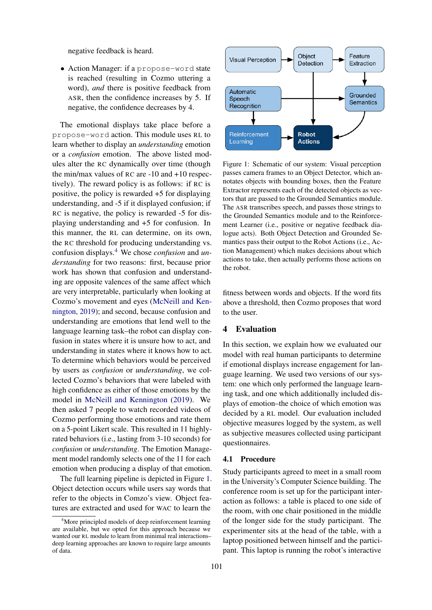negative feedback is heard.

• Action Manager: if a propose-word state is reached (resulting in Cozmo uttering a word), *and* there is positive feedback from ASR, then the confidence increases by 5. If negative, the confidence decreases by 4.

The emotional displays take place before a propose-word action. This module uses RL to learn whether to display an *understanding* emotion or a *confusion* emotion. The above listed modules alter the RC dynamically over time (though the min/max values of RC are -10 and +10 respectively). The reward policy is as follows: if RC is positive, the policy is rewarded +5 for displaying understanding, and -5 if it displayed confusion; if RC is negative, the policy is rewarded -5 for displaying understanding and +5 for confusion. In this manner, the RL can determine, on its own, the RC threshold for producing understanding vs. confusion displays.[4](#page-4-0) We chose *confusion* and *understanding* for two reasons: first, because prior work has shown that confusion and understanding are opposite valences of the same affect which are very interpretable, particularly when looking at Cozmo's movement and eyes [\(McNeill and Ken](#page-9-3)[nington,](#page-9-3) [2019\)](#page-9-3); and second, because confusion and understanding are emotions that lend well to the language learning task–the robot can display confusion in states where it is unsure how to act, and understanding in states where it knows how to act. To determine which behaviors would be perceived by users as *confusion* or *understanding*, we collected Cozmo's behaviors that were labeled with high confidence as either of those emotions by the model in [McNeill and Kennington](#page-9-3) [\(2019\)](#page-9-3). We then asked 7 people to watch recorded videos of Cozmo performing those emotions and rate them on a 5-point Likert scale. This resulted in 11 highlyrated behaviors (i.e., lasting from 3-10 seconds) for *confusion* or *understanding*. The Emotion Management model randomly selects one of the 11 for each emotion when producing a display of that emotion.

The full learning pipeline is depicted in Figure [1.](#page-4-1) Object detection occurs while users say words that refer to the objects in Comzo's view. Object features are extracted and used for WAC to learn the

<span id="page-4-1"></span>

Figure 1: Schematic of our system: Visual perception passes camera frames to an Object Detector, which annotates objects with bounding boxes, then the Feature Extractor represents each of the detected objects as vectors that are passed to the Grounded Semantics module. The ASR transcribes speech, and passes those strings to the Grounded Semantics module and to the Reinforcement Learner (i.e., positive or negative feedback dialogue acts). Both Object Detection and Grounded Semantics pass their output to the Robot Actions (i.e., Action Management) which makes decisions about which actions to take, then actually performs those actions on the robot.

fitness between words and objects. If the word fits above a threshold, then Cozmo proposes that word to the user.

# 4 Evaluation

In this section, we explain how we evaluated our model with real human participants to determine if emotional displays increase engagement for language learning. We used two versions of our system: one which only performed the language learning task, and one which additionally included displays of emotion–the choice of which emotion was decided by a RL model. Our evaluation included objective measures logged by the system, as well as subjective measures collected using participant questionnaires.

#### 4.1 Procedure

Study participants agreed to meet in a small room in the University's Computer Science building. The conference room is set up for the participant interaction as follows: a table is placed to one side of the room, with one chair positioned in the middle of the longer side for the study participant. The experimenter sits at the head of the table, with a laptop positioned between himself and the participant. This laptop is running the robot's interactive

<span id="page-4-0"></span><sup>&</sup>lt;sup>4</sup>More principled models of deep reinforcement learning are available, but we opted for this approach because we wanted our RL module to learn from minimal real interactions– deep learning approaches are known to require large amounts of data.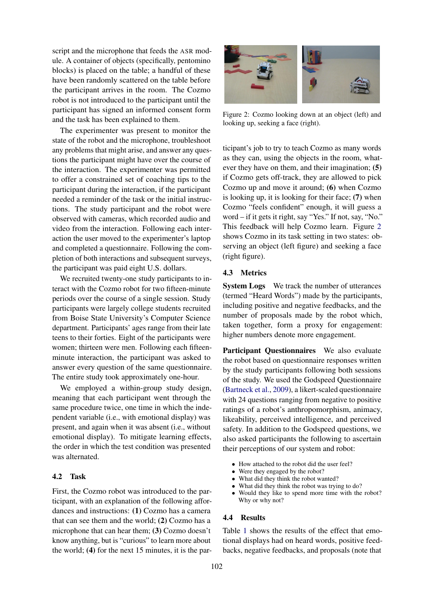script and the microphone that feeds the ASR module. A container of objects (specifically, pentomino blocks) is placed on the table; a handful of these have been randomly scattered on the table before the participant arrives in the room. The Cozmo robot is not introduced to the participant until the participant has signed an informed consent form and the task has been explained to them.

The experimenter was present to monitor the state of the robot and the microphone, troubleshoot any problems that might arise, and answer any questions the participant might have over the course of the interaction. The experimenter was permitted to offer a constrained set of coaching tips to the participant during the interaction, if the participant needed a reminder of the task or the initial instructions. The study participant and the robot were observed with cameras, which recorded audio and video from the interaction. Following each interaction the user moved to the experimenter's laptop and completed a questionnaire. Following the completion of both interactions and subsequent surveys, the participant was paid eight U.S. dollars.

We recruited twenty-one study participants to interact with the Cozmo robot for two fifteen-minute periods over the course of a single session. Study participants were largely college students recruited from Boise State University's Computer Science department. Participants' ages range from their late teens to their forties. Eight of the participants were women; thirteen were men. Following each fifteenminute interaction, the participant was asked to answer every question of the same questionnaire. The entire study took approximately one-hour.

We employed a within-group study design, meaning that each participant went through the same procedure twice, one time in which the independent variable (i.e., with emotional display) was present, and again when it was absent (i.e., without emotional display). To mitigate learning effects, the order in which the test condition was presented was alternated.

## 4.2 Task

First, the Cozmo robot was introduced to the participant, with an explanation of the following affordances and instructions: (1) Cozmo has a camera that can see them and the world; (2) Cozmo has a microphone that can hear them; (3) Cozmo doesn't know anything, but is "curious" to learn more about the world; (4) for the next 15 minutes, it is the par-

<span id="page-5-0"></span>

Figure 2: Cozmo looking down at an object (left) and looking up, seeking a face (right).

ticipant's job to try to teach Cozmo as many words as they can, using the objects in the room, whatever they have on them, and their imagination; (5) if Cozmo gets off-track, they are allowed to pick Cozmo up and move it around; (6) when Cozmo is looking up, it is looking for their face; (7) when Cozmo "feels confident" enough, it will guess a word – if it gets it right, say "Yes." If not, say, "No." This feedback will help Cozmo learn. Figure [2](#page-5-0) shows Cozmo in its task setting in two states: observing an object (left figure) and seeking a face (right figure).

# 4.3 Metrics

System Logs We track the number of utterances (termed "Heard Words") made by the participants, including positive and negative feedbacks, and the number of proposals made by the robot which, taken together, form a proxy for engagement: higher numbers denote more engagement.

Participant Questionnaires We also evaluate the robot based on questionnaire responses written by the study participants following both sessions of the study. We used the Godspeed Questionnaire [\(Bartneck et al.,](#page-8-20) [2009\)](#page-8-20), a likert-scaled questionnaire with 24 questions ranging from negative to positive ratings of a robot's anthropomorphism, animacy, likeability, perceived intelligence, and perceived safety. In addition to the Godspeed questions, we also asked participants the following to ascertain their perceptions of our system and robot:

- How attached to the robot did the user feel?
- Were they engaged by the robot?
- What did they think the robot wanted?
- What did they think the robot was trying to do?
- Would they like to spend more time with the robot? Why or why not?

# 4.4 Results

Table [1](#page-6-0) shows the results of the effect that emotional displays had on heard words, positive feedbacks, negative feedbacks, and proposals (note that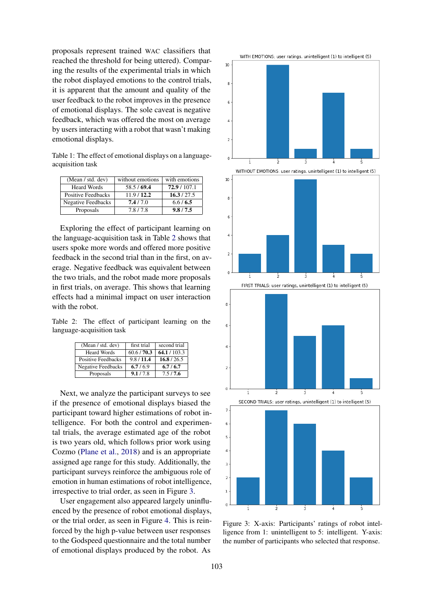proposals represent trained WAC classifiers that reached the threshold for being uttered). Comparing the results of the experimental trials in which the robot displayed emotions to the control trials, it is apparent that the amount and quality of the user feedback to the robot improves in the presence of emotional displays. The sole caveat is negative feedback, which was offered the most on average by users interacting with a robot that wasn't making emotional displays.

<span id="page-6-0"></span>Table 1: The effect of emotional displays on a languageacquisition task

| (Mean / std. dev)         | without emotions | with emotions |
|---------------------------|------------------|---------------|
| <b>Heard Words</b>        | 58.5/69.4        | 72.9/107.1    |
| Positive Feedbacks        | 11.9/12.2        | 16.3/27.5     |
| <b>Negative Feedbacks</b> | 7.4/7.0          | 6.6/6.5       |
| Proposals                 | 7.8/7.8          | 9.8/7.5       |

Exploring the effect of participant learning on the language-acquisition task in Table [2](#page-6-1) shows that users spoke more words and offered more positive feedback in the second trial than in the first, on average. Negative feedback was equivalent between the two trials, and the robot made more proposals in first trials, on average. This shows that learning effects had a minimal impact on user interaction with the robot.

<span id="page-6-1"></span>Table 2: The effect of participant learning on the language-acquisition task

| (Mean / std. dev)         | first trial | second trial |
|---------------------------|-------------|--------------|
| <b>Heard Words</b>        | 60.6/70.3   | 64.1 / 103.3 |
| <b>Positive Feedbacks</b> | 9.8/11.4    | 16.8/26.5    |
| <b>Negative Feedbacks</b> | 6.7/6.9     | 6.7/6.7      |
| Proposals                 | 9.1/78      | 75/76        |

Next, we analyze the participant surveys to see if the presence of emotional displays biased the participant toward higher estimations of robot intelligence. For both the control and experimental trials, the average estimated age of the robot is two years old, which follows prior work using Cozmo [\(Plane et al.,](#page-9-2) [2018\)](#page-9-2) and is an appropriate assigned age range for this study. Additionally, the participant surveys reinforce the ambiguous role of emotion in human estimations of robot intelligence, irrespective to trial order, as seen in Figure [3.](#page-6-2)

User engagement also appeared largely uninfluenced by the presence of robot emotional displays, or the trial order, as seen in Figure [4.](#page-7-0) This is reinforced by the high p-value between user responses to the Godspeed questionnaire and the total number of emotional displays produced by the robot. As

<span id="page-6-2"></span>



Figure 3: X-axis: Participants' ratings of robot intelligence from 1: unintelligent to 5: intelligent. Y-axis: the number of participants who selected that response.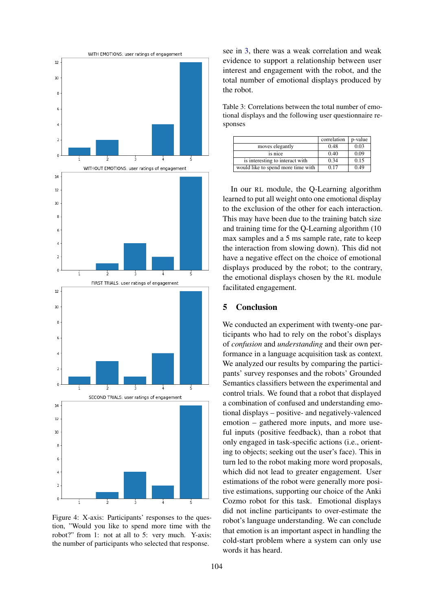<span id="page-7-0"></span>

Figure 4: X-axis: Participants' responses to the question, "Would you like to spend more time with the robot?" from 1: not at all to 5: very much. Y-axis: the number of participants who selected that response.

see in [3,](#page-7-1) there was a weak correlation and weak evidence to support a relationship between user interest and engagement with the robot, and the total number of emotional displays produced by the robot.

<span id="page-7-1"></span>Table 3: Correlations between the total number of emotional displays and the following user questionnaire responses

|                                    | correlation | p-value |
|------------------------------------|-------------|---------|
| moves elegantly                    | 0.48        | 0.03    |
| is nice                            | 0.40        | 0.09    |
| is interesting to interact with    | 0.34        | 0.15    |
| would like to spend more time with | 0.17        | 0.49    |

In our RL module, the Q-Learning algorithm learned to put all weight onto one emotional display to the exclusion of the other for each interaction. This may have been due to the training batch size and training time for the Q-Learning algorithm (10 max samples and a 5 ms sample rate, rate to keep the interaction from slowing down). This did not have a negative effect on the choice of emotional displays produced by the robot; to the contrary, the emotional displays chosen by the RL module facilitated engagement.

# 5 Conclusion

We conducted an experiment with twenty-one participants who had to rely on the robot's displays of *confusion* and *understanding* and their own performance in a language acquisition task as context. We analyzed our results by comparing the participants' survey responses and the robots' Grounded Semantics classifiers between the experimental and control trials. We found that a robot that displayed a combination of confused and understanding emotional displays – positive- and negatively-valenced emotion – gathered more inputs, and more useful inputs (positive feedback), than a robot that only engaged in task-specific actions (i.e., orienting to objects; seeking out the user's face). This in turn led to the robot making more word proposals, which did not lead to greater engagement. User estimations of the robot were generally more positive estimations, supporting our choice of the Anki Cozmo robot for this task. Emotional displays did not incline participants to over-estimate the robot's language understanding. We can conclude that emotion is an important aspect in handling the cold-start problem where a system can only use words it has heard.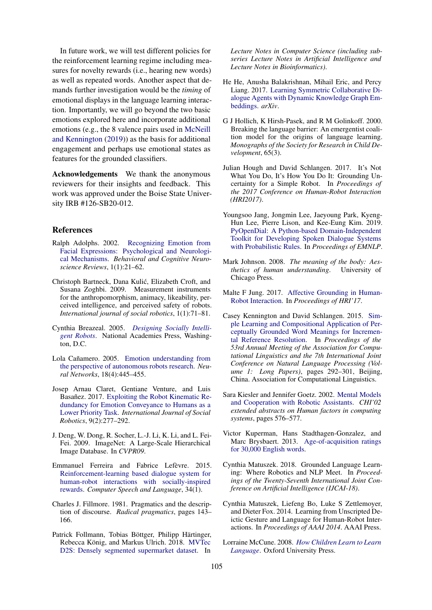In future work, we will test different policies for the reinforcement learning regime including measures for novelty rewards (i.e., hearing new words) as well as repeated words. Another aspect that demands further investigation would be the *timing* of emotional displays in the language learning interaction. Importantly, we will go beyond the two basic emotions explored here and incorporate additional emotions (e.g., the 8 valence pairs used in [McNeill](#page-9-3) [and Kennington](#page-9-3) [\(2019\)](#page-9-3)) as the basis for additional engagement and perhaps use emotional states as features for the grounded classifiers.

Acknowledgements We thank the anonymous reviewers for their insights and feedback. This work was approved under the Boise State University IRB #126-SB20-012.

## References

- <span id="page-8-4"></span>Ralph Adolphs. 2002. [Recognizing Emotion from](https://doi.org/10.1177/1534582302001001003) [Facial Expressions: Psychological and Neurologi](https://doi.org/10.1177/1534582302001001003)[cal Mechanisms.](https://doi.org/10.1177/1534582302001001003) *Behavioral and Cognitive Neuroscience Reviews*, 1(1):21–62.
- <span id="page-8-20"></span>Christoph Bartneck, Dana Kulic, Elizabeth Croft, and ´ Susana Zoghbi. 2009. Measurement instruments for the anthropomorphism, animacy, likeability, perceived intelligence, and perceived safety of robots. *International journal of social robotics*, 1(1):71–81.
- <span id="page-8-8"></span>Cynthia Breazeal. 2005. *[Designing Socially Intelli](https://doi.org/10.17226/11220)[gent Robots](https://doi.org/10.17226/11220)*. National Academies Press, Washington, D.C.
- <span id="page-8-9"></span>Lola Cañamero. 2005. [Emotion understanding from](https://doi.org/10.1016/J.NEUNET.2005.03.003) [the perspective of autonomous robots research.](https://doi.org/10.1016/J.NEUNET.2005.03.003) *Neural Networks*, 18(4):445–455.
- <span id="page-8-10"></span>Josep Arnau Claret, Gentiane Venture, and Luis Basañez. 2017. [Exploiting the Robot Kinematic Re](https://doi.org/10.1007/s12369-016-0387-2)[dundancy for Emotion Conveyance to Humans as a](https://doi.org/10.1007/s12369-016-0387-2) [Lower Priority Task.](https://doi.org/10.1007/s12369-016-0387-2) *International Journal of Social Robotics*, 9(2):277–292.
- <span id="page-8-18"></span>J. Deng, W. Dong, R. Socher, L.-J. Li, K. Li, and L. Fei-Fei. 2009. ImageNet: A Large-Scale Hierarchical Image Database. In *CVPR09*.
- <span id="page-8-13"></span>Emmanuel Ferreira and Fabrice Lefèvre. 2015. [Reinforcement-learning based dialogue system for](https://doi.org/10.1016/j.csl.2015.03.007) [human-robot interactions with socially-inspired](https://doi.org/10.1016/j.csl.2015.03.007) [rewards.](https://doi.org/10.1016/j.csl.2015.03.007) *Computer Speech and Language*, 34(1).
- <span id="page-8-0"></span>Charles J. Fillmore. 1981. Pragmatics and the description of discourse. *Radical pragmatics*, pages 143– 166.
- <span id="page-8-17"></span>Patrick Follmann, Tobias Böttger, Philipp Härtinger, Rebecca König, and Markus Ulrich. 2018. [MVTec](https://doi.org/10.1007/978-3-030-01249-6_35) [D2S: Densely segmented supermarket dataset.](https://doi.org/10.1007/978-3-030-01249-6_35) In

*Lecture Notes in Computer Science (including subseries Lecture Notes in Artificial Intelligence and Lecture Notes in Bioinformatics)*.

- <span id="page-8-16"></span>He He, Anusha Balakrishnan, Mihail Eric, and Percy Liang. 2017. [Learning Symmetric Collaborative Di](https://doi.org/https://doi.org/10.18653/v1/P17-1162)[alogue Agents with Dynamic Knowledge Graph Em](https://doi.org/https://doi.org/10.18653/v1/P17-1162)[beddings.](https://doi.org/https://doi.org/10.18653/v1/P17-1162) *arXiv*.
- <span id="page-8-15"></span>G J Hollich, K Hirsh-Pasek, and R M Golinkoff. 2000. Breaking the language barrier: An emergentist coalition model for the origins of language learning. *Monographs of the Society for Research in Child Development*, 65(3).
- <span id="page-8-6"></span>Julian Hough and David Schlangen. 2017. It's Not What You Do, It's How You Do It: Grounding Uncertainty for a Simple Robot. In *Proceedings of the 2017 Conference on Human-Robot Interaction (HRI2017)*.
- <span id="page-8-19"></span>Youngsoo Jang, Jongmin Lee, Jaeyoung Park, Kyeng-Hun Lee, Pierre Lison, and Kee-Eung Kim. 2019. [PyOpenDial: A Python-based Domain-Independent](http://ailab.kaist.ac.kr/papers/pdfs/emnlp2019.pdf) [Toolkit for Developing Spoken Dialogue Systems](http://ailab.kaist.ac.kr/papers/pdfs/emnlp2019.pdf) [with Probabilistic Rules.](http://ailab.kaist.ac.kr/papers/pdfs/emnlp2019.pdf) In *Proceedings of EMNLP*.
- <span id="page-8-3"></span>Mark Johnson. 2008. *The meaning of the body: Aesthetics of human understanding*. University of Chicago Press.
- <span id="page-8-11"></span>Malte F Jung. 2017. [Affective Grounding in Human-](https://doi.org/10.1145/2909824.3020224)[Robot Interaction.](https://doi.org/10.1145/2909824.3020224) In *Proceedings of HRI'17*.
- <span id="page-8-5"></span>Casey Kennington and David Schlangen. 2015. [Sim](http://www.aclweb.org/anthology/P15-1029)[ple Learning and Compositional Application of Per](http://www.aclweb.org/anthology/P15-1029)[ceptually Grounded Word Meanings for Incremen](http://www.aclweb.org/anthology/P15-1029)[tal Reference Resolution.](http://www.aclweb.org/anthology/P15-1029) In *Proceedings of the 53rd Annual Meeting of the Association for Computational Linguistics and the 7th International Joint Conference on Natural Language Processing (Volume 1: Long Papers)*, pages 292–301, Beijing, China. Association for Computational Linguistics.
- <span id="page-8-7"></span>Sara Kiesler and Jennifer Goetz. 2002. [Mental Models](https://doi.org/10.1145/506443.506491) [and Cooperation with Robotic Assistants.](https://doi.org/10.1145/506443.506491) *CHI'02 extended abstracts on Human factors in computing systems*, pages 576–577.
- <span id="page-8-2"></span>Victor Kuperman, Hans Stadthagen-Gonzalez, and Marc Brysbaert. 2013. [Age-of-acquisition ratings](https://doi.org/10.3758/s13428-012-0210-4) [for 30,000 English words.](https://doi.org/10.3758/s13428-012-0210-4)
- <span id="page-8-12"></span>Cynthia Matuszek. 2018. Grounded Language Learning: Where Robotics and NLP Meet. In *Proceedings of the Twenty-Seventh International Joint Conference on Artificial Intelligence (IJCAI-18)*.
- <span id="page-8-14"></span>Cynthia Matuszek, Liefeng Bo, Luke S Zettlemoyer, and Dieter Fox. 2014. Learning from Unscripted Deictic Gesture and Language for Human-Robot Interactions. In *Proceedings of AAAI 2014*. AAAI Press.
- <span id="page-8-1"></span>Lorraine McCune. 2008. *[How Children Learn to Learn](https://doi.org/10.1093/acprof:oso/9780195177879.001.0001) [Language](https://doi.org/10.1093/acprof:oso/9780195177879.001.0001)*. Oxford University Press.